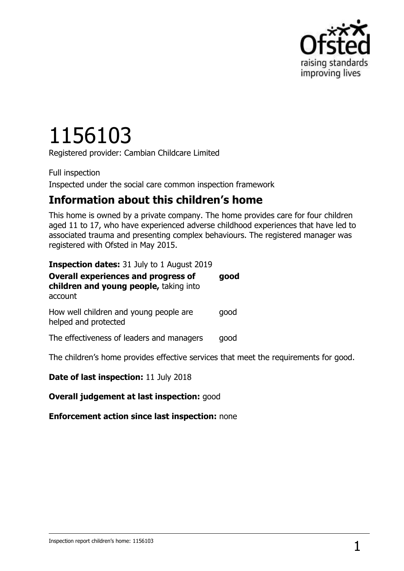

# 1156103

Registered provider: Cambian Childcare Limited

Full inspection Inspected under the social care common inspection framework

# **Information about this children's home**

This home is owned by a private company. The home provides care for four children aged 11 to 17, who have experienced adverse childhood experiences that have led to associated trauma and presenting complex behaviours. The registered manager was registered with Ofsted in May 2015.

| <b>Inspection dates:</b> 31 July to 1 August 2019                                               |      |
|-------------------------------------------------------------------------------------------------|------|
| <b>Overall experiences and progress of</b><br>children and young people, taking into<br>account | good |
| How well children and young people are<br>helped and protected                                  | qood |
| The effectiveness of leaders and managers                                                       | good |
| The children's home provides effective services that meet the requirements for good.            |      |

**Date of last inspection:** 11 July 2018

**Overall judgement at last inspection:** good

**Enforcement action since last inspection:** none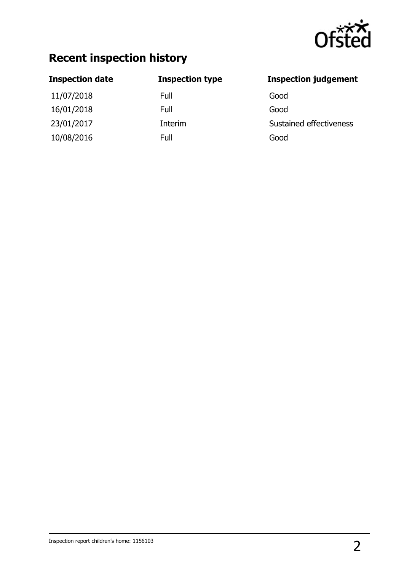

# **Recent inspection history**

11/07/2018 Full Good 16/01/2018 Full Good 10/08/2016 Full Good

#### **Inspection date Inspection type Inspection judgement**

23/01/2017 **Interim** Interim Sustained effectiveness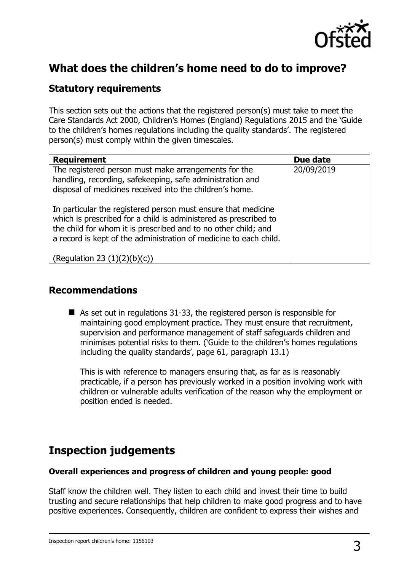

# **What does the children's home need to do to improve?**

#### **Statutory requirements**

This section sets out the actions that the registered person(s) must take to meet the Care Standards Act 2000, Children's Homes (England) Regulations 2015 and the 'Guide to the children's homes regulations including the quality standards'. The registered person(s) must comply within the given timescales.

| <b>Requirement</b>                                                                                                                                                                                                                                                       | Due date   |
|--------------------------------------------------------------------------------------------------------------------------------------------------------------------------------------------------------------------------------------------------------------------------|------------|
| The registered person must make arrangements for the<br>handling, recording, safekeeping, safe administration and<br>disposal of medicines received into the children's home.                                                                                            | 20/09/2019 |
| In particular the registered person must ensure that medicine<br>which is prescribed for a child is administered as prescribed to<br>the child for whom it is prescribed and to no other child; and<br>a record is kept of the administration of medicine to each child. |            |
| (Requlation 23 (1)(2)(b)(c))                                                                                                                                                                                                                                             |            |

#### **Recommendations**

 $\blacksquare$  As set out in regulations 31-33, the registered person is responsible for maintaining good employment practice. They must ensure that recruitment, supervision and performance management of staff safeguards children and minimises potential risks to them. ('Guide to the children's homes regulations including the quality standards', page 61, paragraph 13.1)

This is with reference to managers ensuring that, as far as is reasonably practicable, if a person has previously worked in a position involving work with children or vulnerable adults verification of the reason why the employment or position ended is needed.

# **Inspection judgements**

#### **Overall experiences and progress of children and young people: good**

Staff know the children well. They listen to each child and invest their time to build trusting and secure relationships that help children to make good progress and to have positive experiences. Consequently, children are confident to express their wishes and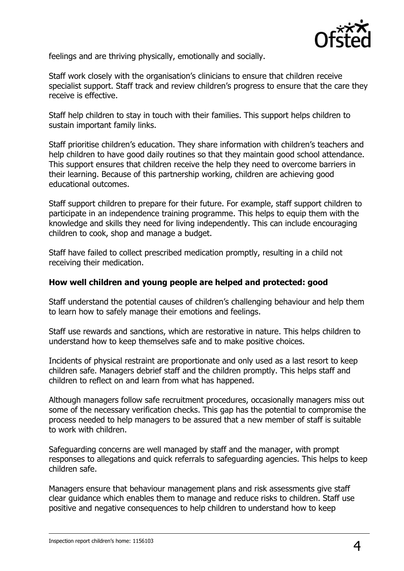

feelings and are thriving physically, emotionally and socially.

Staff work closely with the organisation's clinicians to ensure that children receive specialist support. Staff track and review children's progress to ensure that the care they receive is effective.

Staff help children to stay in touch with their families. This support helps children to sustain important family links.

Staff prioritise children's education. They share information with children's teachers and help children to have good daily routines so that they maintain good school attendance. This support ensures that children receive the help they need to overcome barriers in their learning. Because of this partnership working, children are achieving good educational outcomes.

Staff support children to prepare for their future. For example, staff support children to participate in an independence training programme. This helps to equip them with the knowledge and skills they need for living independently. This can include encouraging children to cook, shop and manage a budget.

Staff have failed to collect prescribed medication promptly, resulting in a child not receiving their medication.

#### **How well children and young people are helped and protected: good**

Staff understand the potential causes of children's challenging behaviour and help them to learn how to safely manage their emotions and feelings.

Staff use rewards and sanctions, which are restorative in nature. This helps children to understand how to keep themselves safe and to make positive choices.

Incidents of physical restraint are proportionate and only used as a last resort to keep children safe. Managers debrief staff and the children promptly. This helps staff and children to reflect on and learn from what has happened.

Although managers follow safe recruitment procedures, occasionally managers miss out some of the necessary verification checks. This gap has the potential to compromise the process needed to help managers to be assured that a new member of staff is suitable to work with children.

Safeguarding concerns are well managed by staff and the manager, with prompt responses to allegations and quick referrals to safeguarding agencies. This helps to keep children safe.

Managers ensure that behaviour management plans and risk assessments give staff clear guidance which enables them to manage and reduce risks to children. Staff use positive and negative consequences to help children to understand how to keep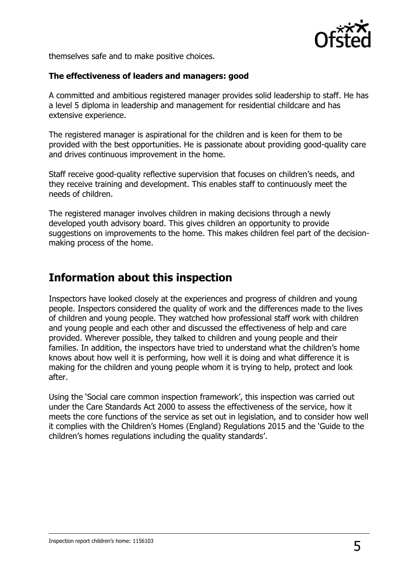

themselves safe and to make positive choices.

#### **The effectiveness of leaders and managers: good**

A committed and ambitious registered manager provides solid leadership to staff. He has a level 5 diploma in leadership and management for residential childcare and has extensive experience.

The registered manager is aspirational for the children and is keen for them to be provided with the best opportunities. He is passionate about providing good-quality care and drives continuous improvement in the home.

Staff receive good-quality reflective supervision that focuses on children's needs, and they receive training and development. This enables staff to continuously meet the needs of children.

The registered manager involves children in making decisions through a newly developed youth advisory board. This gives children an opportunity to provide suggestions on improvements to the home. This makes children feel part of the decisionmaking process of the home.

## **Information about this inspection**

Inspectors have looked closely at the experiences and progress of children and young people. Inspectors considered the quality of work and the differences made to the lives of children and young people. They watched how professional staff work with children and young people and each other and discussed the effectiveness of help and care provided. Wherever possible, they talked to children and young people and their families. In addition, the inspectors have tried to understand what the children's home knows about how well it is performing, how well it is doing and what difference it is making for the children and young people whom it is trying to help, protect and look after.

Using the 'Social care common inspection framework', this inspection was carried out under the Care Standards Act 2000 to assess the effectiveness of the service, how it meets the core functions of the service as set out in legislation, and to consider how well it complies with the Children's Homes (England) Regulations 2015 and the 'Guide to the children's homes regulations including the quality standards'.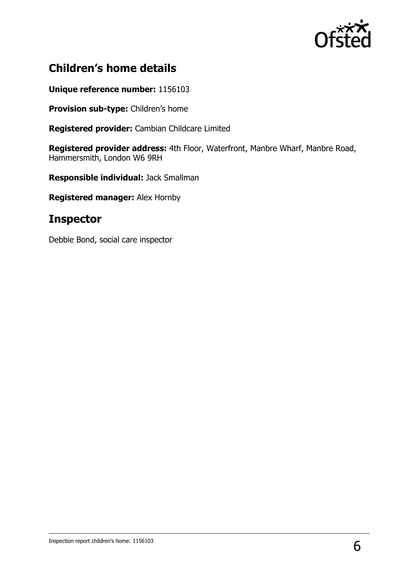

# **Children's home details**

**Unique reference number:** 1156103

**Provision sub-type:** Children's home

**Registered provider:** Cambian Childcare Limited

**Registered provider address:** 4th Floor, Waterfront, Manbre Wharf, Manbre Road, Hammersmith, London W6 9RH

**Responsible individual:** Jack Smallman

**Registered manager:** Alex Hornby

### **Inspector**

Debbie Bond, social care inspector